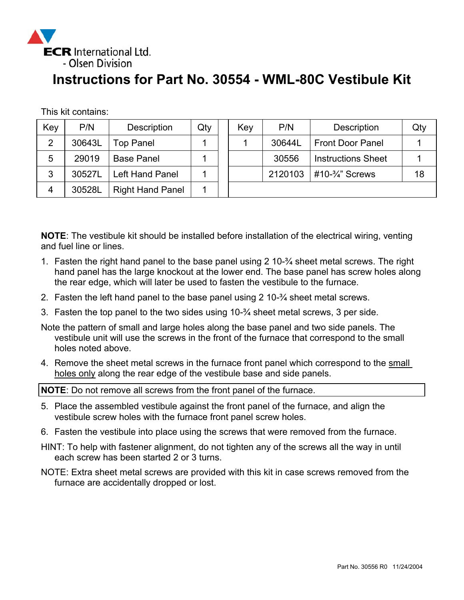

## **Instructions for Part No. 30554 - WML-80C Vestibule Kit**

This kit contains:

| Key            | P/N    | <b>Description</b>      | Qty | Key | P/N     | <b>Description</b>          | Qty |
|----------------|--------|-------------------------|-----|-----|---------|-----------------------------|-----|
| $\overline{2}$ | 30643L | <b>Top Panel</b>        |     |     | 30644L  | <b>Front Door Panel</b>     |     |
| 5              | 29019  | <b>Base Panel</b>       |     |     | 30556   | <b>Instructions Sheet</b>   |     |
| 3              | 30527L | <b>Left Hand Panel</b>  |     |     | 2120103 | #10- $\frac{3}{4}$ " Screws | 18  |
| 4              | 30528L | <b>Right Hand Panel</b> |     |     |         |                             |     |

**NOTE**: The vestibule kit should be installed before installation of the electrical wiring, venting and fuel line or lines.

- 1. Fasten the right hand panel to the base panel using 2 10-¾ sheet metal screws. The right hand panel has the large knockout at the lower end. The base panel has screw holes along the rear edge, which will later be used to fasten the vestibule to the furnace.
- 2. Fasten the left hand panel to the base panel using 2 10-¾ sheet metal screws.
- 3. Fasten the top panel to the two sides using 10-¾ sheet metal screws, 3 per side.

Note the pattern of small and large holes along the base panel and two side panels. The vestibule unit will use the screws in the front of the furnace that correspond to the small holes noted above.

4. Remove the sheet metal screws in the furnace front panel which correspond to the small holes only along the rear edge of the vestibule base and side panels.

**NOTE**: Do not remove all screws from the front panel of the furnace.

- 5. Place the assembled vestibule against the front panel of the furnace, and align the vestibule screw holes with the furnace front panel screw holes.
- 6. Fasten the vestibule into place using the screws that were removed from the furnace.
- HINT: To help with fastener alignment, do not tighten any of the screws all the way in until each screw has been started 2 or 3 turns.
- NOTE: Extra sheet metal screws are provided with this kit in case screws removed from the furnace are accidentally dropped or lost.